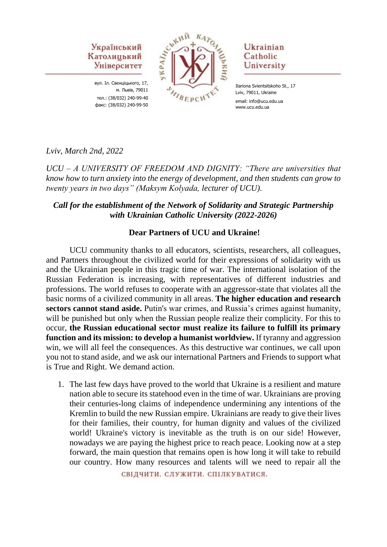вул. Іл. Свєнціцького, 17, м. Львів, 79011 тел.: (38/032) 240-99-40 факс: (38/032) 240-99-50



### Ukrainian Catholic University

Ilariona Svientsitskoho St., 17 Lviv, 79011, Ukraine email: info@ucu.edu.ua www.ucu.edu.ua

*Lviv, March 2nd, 2022*

*UCU – A UNIVERSITY OF FREEDOM AND DIGNITY: "There are universities that know how to turn anxiety into the energy of development, and then students can grow to twenty years in two days" (Maksym Kolyada, lecturer of UCU).*

## *Call for the establishment of the Network of Solidarity and Strategic Partnership with Ukrainian Catholic University (2022-2026)*

### **Dear Partners of UCU and Ukraine!**

UCU community thanks to all educators, scientists, researchers, all colleagues, and Partners throughout the civilized world for their expressions of solidarity with us and the Ukrainian people in this tragic time of war. The international isolation of the Russian Federation is increasing, with representatives of different industries and professions. The world refuses to cooperate with an aggressor-state that violates all the basic norms of a civilized community in all areas. **The higher education and research sectors cannot stand aside.** Putin's war crimes, and Russia's crimes against humanity, will be punished but only when the Russian people realize their complicity. For this to occur, **the Russian educational sector must realize its failure to fulfill its primary function and its mission: to develop a humanist worldview.** If tyranny and aggression win, we will all feel the consequences. As this destructive war continues, we call upon you not to stand aside, and we ask our international Partners and Friends to support what is True and Right. We demand action.

1. The last few days have proved to the world that Ukraine is a resilient and mature nation able to secure its statehood even in the time of war. Ukrainians are proving their centuries-long claims of independence undermining any intentions of the Kremlin to build the new Russian empire. Ukrainians are ready to give their lives for their families, their country, for human dignity and values of the civilized world! Ukraine's victory is inevitable as the truth is on our side! However, nowadays we are paying the highest price to reach peace. Looking now at a step forward, the main question that remains open is how long it will take to rebuild our country. How many resources and talents will we need to repair all the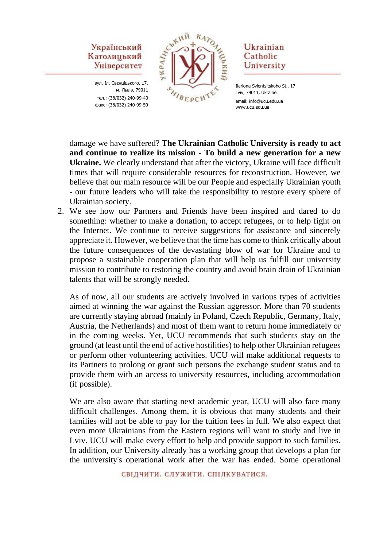вул. Іл. Свєнціцького, 17, м. Львів, 79011 тел.: (38/032) 240-99-40 факс: (38/032) 240-99-50



### Ukrainian Catholic University

damage we have suffered? **The Ukrainian Catholic University is ready to act and continue to realize its mission - To build a new generation for a new Ukraine.** We clearly understand that after the victory, Ukraine will face difficult times that will require considerable resources for reconstruction. However, we believe that our main resource will be our People and especially Ukrainian youth - our future leaders who will take the responsibility to restore every sphere of Ukrainian society.

2. We see how our Partners and Friends have been inspired and dared to do something: whether to make a donation, to accept refugees, or to help fight on the Internet. We continue to receive suggestions for assistance and sincerely appreciate it. However, we believe that the time has come to think critically about the future consequences of the devastating blow of war for Ukraine and to propose a sustainable cooperation plan that will help us fulfill our university mission to contribute to restoring the country and avoid brain drain of Ukrainian talents that will be strongly needed.

As of now, all our students are actively involved in various types of activities aimed at winning the war against the Russian aggressor. More than 70 students are currently staying abroad (mainly in Poland, Czech Republic, Germany, Italy, Austria, the Netherlands) and most of them want to return home immediately or in the coming weeks. Yet, UCU recommends that such students stay on the ground (at least until the end of active hostilities) to help other Ukrainian refugees or perform other volunteering activities. UCU will make additional requests to its Partners to prolong or grant such persons the exchange student status and to provide them with an access to university resources, including accommodation (if possible).

We are also aware that starting next academic year, UCU will also face many difficult challenges. Among them, it is obvious that many students and their families will not be able to pay for the tuition fees in full. We also expect that even more Ukrainians from the Eastern regions will want to study and live in Lviv. UCU will make every effort to help and provide support to such families. In addition, our University already has a working group that develops a plan for the university's operational work after the war has ended. Some operational

Ilariona Svientsitskoho St., 17 Lviv, 79011, Ukraine email: info@ucu.edu.ua www.ucu.edu.ua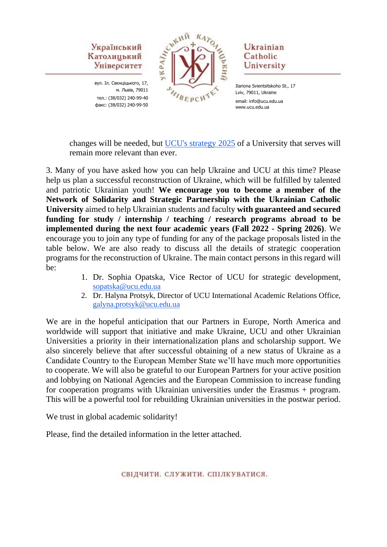вул. Іл. Свєнціцького, 17, м. Львів, 79011 тел.: (38/032) 240-99-40 факс: (38/032) 240-99-50



### Ukrainian Catholic University

Ilariona Svientsitskoho St., 17 Lviv, 79011, Ukraine email: info@ucu.edu.ua www.ucu.edu.ua

changes will be needed, but [UCU's strategy 2025](https://strategy.ucu.edu.ua/en/) of a University that serves will remain more relevant than ever.

3. Many of you have asked how you can help Ukraine and UCU at this time? Please help us plan a successful reconstruction of Ukraine, which will be fulfilled by talented and patriotic Ukrainian youth! **We encourage you to become a member of the Network of Solidarity and Strategic Partnership with the Ukrainian Catholic University** aimed to help Ukrainian students and faculty **with guaranteed and secured funding for study / internship / teaching / research programs abroad to be implemented during the next four academic years (Fall 2022 - Spring 2026)**. We encourage you to join any type of funding for any of the package proposals listed in the table below. We are also ready to discuss all the details of strategic cooperation programs for the reconstruction of Ukraine. The main contact persons in this regard will be:

- 1. Dr. Sophia Opatska, Vice Rector of UCU for strategic development, [sopatska@ucu.edu.ua](mailto:sopatska@ucu.edu.ua)
- 2. Dr. Halyna Protsyk, Director of UCU International Academic Relations Office, [galyna.protsyk@ucu.edu.ua](mailto:galyna.protsyk@ucu.edu.ua)

We are in the hopeful anticipation that our Partners in Europe, North America and worldwide will support that initiative and make Ukraine, UCU and other Ukrainian Universities a priority in their internationalization plans and scholarship support. We also sincerely believe that after successful obtaining of a new status of Ukraine as a Candidate Country to the European Member State we'll have much more opportunities to cooperate. We will also be grateful to our European Partners for your active position and lobbying on National Agencies and the European Commission to increase funding for cooperation programs with Ukrainian universities under the Erasmus + program. This will be a powerful tool for rebuilding Ukrainian universities in the postwar period.

We trust in global academic solidarity!

Please, find the detailed information in the letter attached.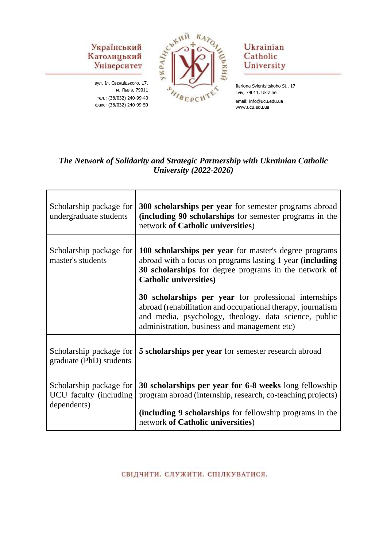вул. Іл. Свєнціцького, 17, м. Львів, 79011 тел.: (38/032) 240-99-40 факс: (38/032) 240-99-50



### Ukrainian Catholic University

Ilariona Svientsitskoho St., 17 Lviv, 79011, Ukraine email: info@ucu.edu.ua www.ucu.edu.ua

# *The Network of Solidarity and Strategic Partnership with Ukrainian Catholic University (2022-2026)*

| Scholarship package for<br>undergraduate students                 | 300 scholarships per year for semester programs abroad<br>(including 90 scholarships for semester programs in the<br>network of Catholic universities)                                                                        |
|-------------------------------------------------------------------|-------------------------------------------------------------------------------------------------------------------------------------------------------------------------------------------------------------------------------|
| Scholarship package for<br>master's students                      | 100 scholarships per year for master's degree programs<br>abroad with a focus on programs lasting 1 year (including<br>30 scholarships for degree programs in the network of<br><b>Catholic universities)</b>                 |
|                                                                   | 30 scholarships per year for professional internships<br>abroad (rehabilitation and occupational therapy, journalism<br>and media, psychology, theology, data science, public<br>administration, business and management etc) |
| Scholarship package for<br>graduate (PhD) students                | 5 scholarships per year for semester research abroad                                                                                                                                                                          |
| Scholarship package for<br>UCU faculty (including)<br>dependents) | 30 scholarships per year for 6-8 weeks long fellowship<br>program abroad (internship, research, co-teaching projects)<br>(including 9 scholarships for fellowship programs in the<br>network of Catholic universities)        |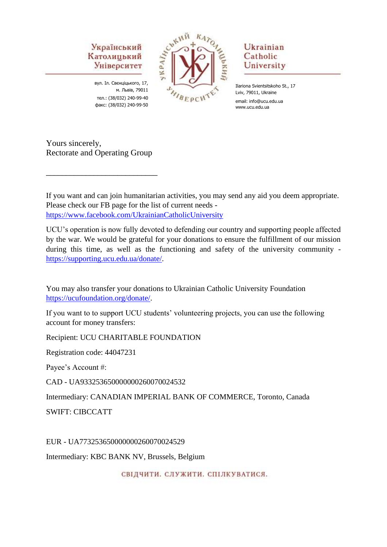вул. Іл. Свєнціцького, 17, м. Львів, 79011 тел.: (38/032) 240-99-40 факс: (38/032) 240-99-50



### Ukrainian Catholic University

Ilariona Svientsitskoho St., 17 Lviv, 79011, Ukraine email: info@ucu.edu.ua www.ucu.edu.ua

Yours sincerely, Rectorate and Operating Group

\_\_\_\_\_\_\_\_\_\_\_\_\_\_\_\_\_\_\_\_\_\_\_\_\_\_\_\_

If you want and can join humanitarian activities, you may send any aid you deem appropriate. Please check our FB page for the list of current needs <https://www.facebook.com/UkrainianCatholicUniversity>

UCU's operation is now fully devoted to defending our country and supporting people affected by the war. We would be grateful for your donations to ensure the fulfillment of our mission during this time, as well as the functioning and safety of the university community [https://supporting.ucu.edu.ua/donate/.](https://supporting.ucu.edu.ua/donate/)

You may also transfer your donations to Ukrainian Catholic University Foundation [https://ucufoundation.org/donate/.](https://ucufoundation.org/donate/)

If you want to to support UCU students' volunteering projects, you can use the following account for money transfers:

Recipient: UCU CHARITABLE FOUNDATION

Registration code: 44047231

Payee's Account #:

CAD - UA933253650000000260070024532

Intermediary: CANADIAN IMPERIAL BANK OF COMMERCE, Toronto, Canada

SWIFT: CIBCCATT

EUR - UA773253650000000260070024529

Intermediary: KBC BANK NV, Brussels, Belgium